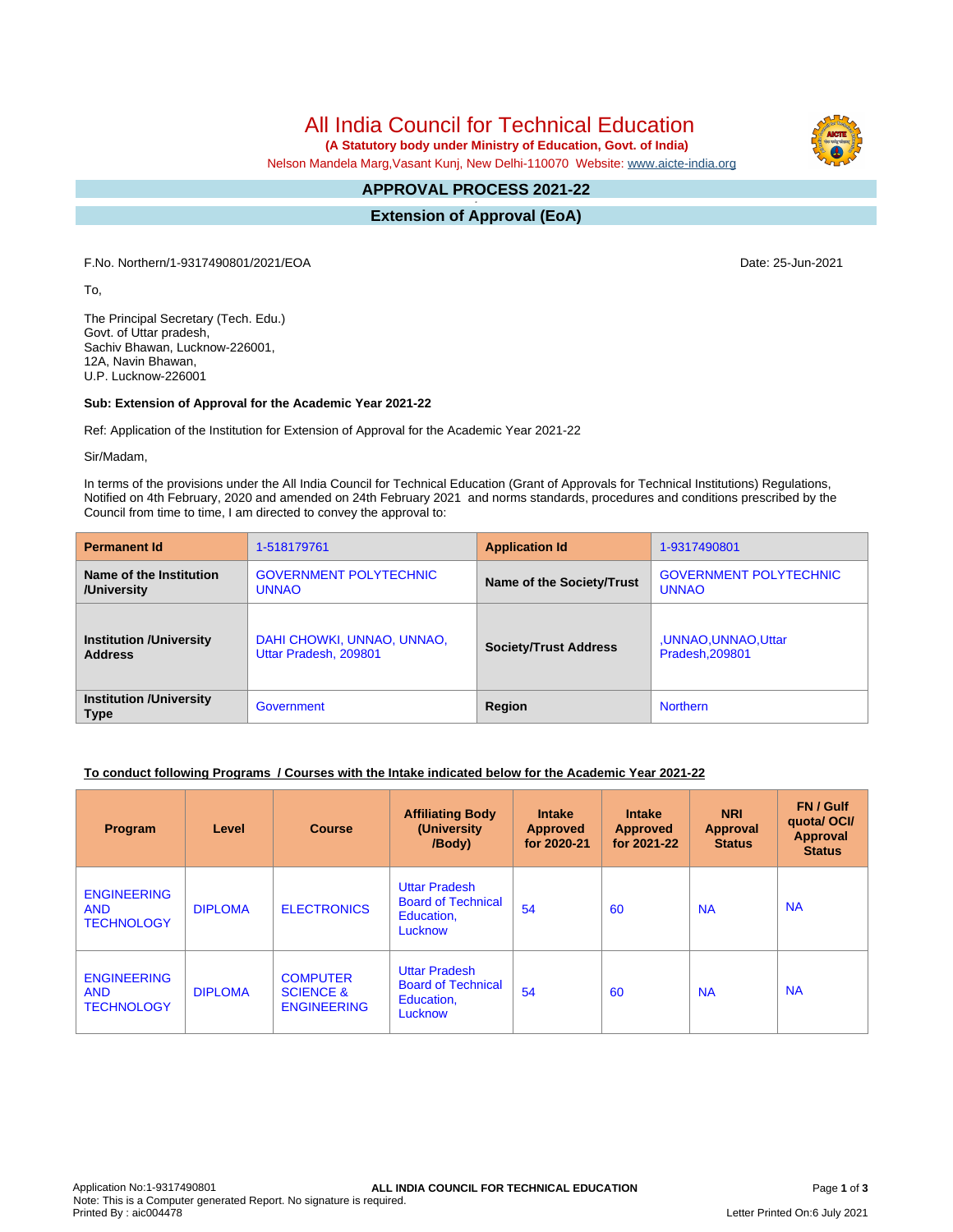All India Council for Technical Education

 **(A Statutory body under Ministry of Education, Govt. of India)**

Nelson Mandela Marg,Vasant Kunj, New Delhi-110070 Website: [www.aicte-india.org](http://www.aicte-india.org)

#### **APPROVAL PROCESS 2021-22 -**

**Extension of Approval (EoA)**

F.No. Northern/1-9317490801/2021/EOA Date: 25-Jun-2021

To,

The Principal Secretary (Tech. Edu.) Govt. of Uttar pradesh, Sachiv Bhawan, Lucknow-226001, 12A, Navin Bhawan, U.P. Lucknow-226001

# **Sub: Extension of Approval for the Academic Year 2021-22**

Ref: Application of the Institution for Extension of Approval for the Academic Year 2021-22

Sir/Madam,

In terms of the provisions under the All India Council for Technical Education (Grant of Approvals for Technical Institutions) Regulations, Notified on 4th February, 2020 and amended on 24th February 2021 and norms standards, procedures and conditions prescribed by the Council from time to time, I am directed to convey the approval to:

| <b>Permanent Id</b>                           | 1-518179761                   | <b>Application Id</b>        | 1-9317490801                  |  |
|-----------------------------------------------|-------------------------------|------------------------------|-------------------------------|--|
| Name of the Institution                       | <b>GOVERNMENT POLYTECHNIC</b> | Name of the Society/Trust    | <b>GOVERNMENT POLYTECHNIC</b> |  |
| /University                                   | <b>UNNAO</b>                  |                              | <b>UNNAO</b>                  |  |
| <b>Institution /University</b>                | DAHI CHOWKI, UNNAO, UNNAO,    | <b>Society/Trust Address</b> | ,UNNAO,UNNAO,Uttar            |  |
| <b>Address</b>                                | Uttar Pradesh, 209801         |                              | Pradesh, 209801               |  |
| <b>Institution /University</b><br><b>Type</b> | Government                    | Region                       | <b>Northern</b>               |  |

# **To conduct following Programs / Courses with the Intake indicated below for the Academic Year 2021-22**

| Program                                               | Level          | <b>Course</b>                                                 | <b>Affiliating Body</b><br>(University)<br>/Body)                          | Intake<br><b>Approved</b><br>for 2020-21 | <b>Intake</b><br><b>Approved</b><br>for 2021-22 | <b>NRI</b><br><b>Approval</b><br><b>Status</b> | FN / Gulf<br>quotal OCI/<br><b>Approval</b><br><b>Status</b> |
|-------------------------------------------------------|----------------|---------------------------------------------------------------|----------------------------------------------------------------------------|------------------------------------------|-------------------------------------------------|------------------------------------------------|--------------------------------------------------------------|
| <b>ENGINEERING</b><br><b>AND</b><br><b>TECHNOLOGY</b> | <b>DIPLOMA</b> | <b>ELECTRONICS</b>                                            | <b>Uttar Pradesh</b><br><b>Board of Technical</b><br>Education,<br>Lucknow | 54                                       | 60                                              | <b>NA</b>                                      | <b>NA</b>                                                    |
| <b>ENGINEERING</b><br><b>AND</b><br><b>TECHNOLOGY</b> | <b>DIPLOMA</b> | <b>COMPUTER</b><br><b>SCIENCE &amp;</b><br><b>ENGINEERING</b> | <b>Uttar Pradesh</b><br><b>Board of Technical</b><br>Education,<br>Lucknow | 54                                       | 60                                              | <b>NA</b>                                      | <b>NA</b>                                                    |

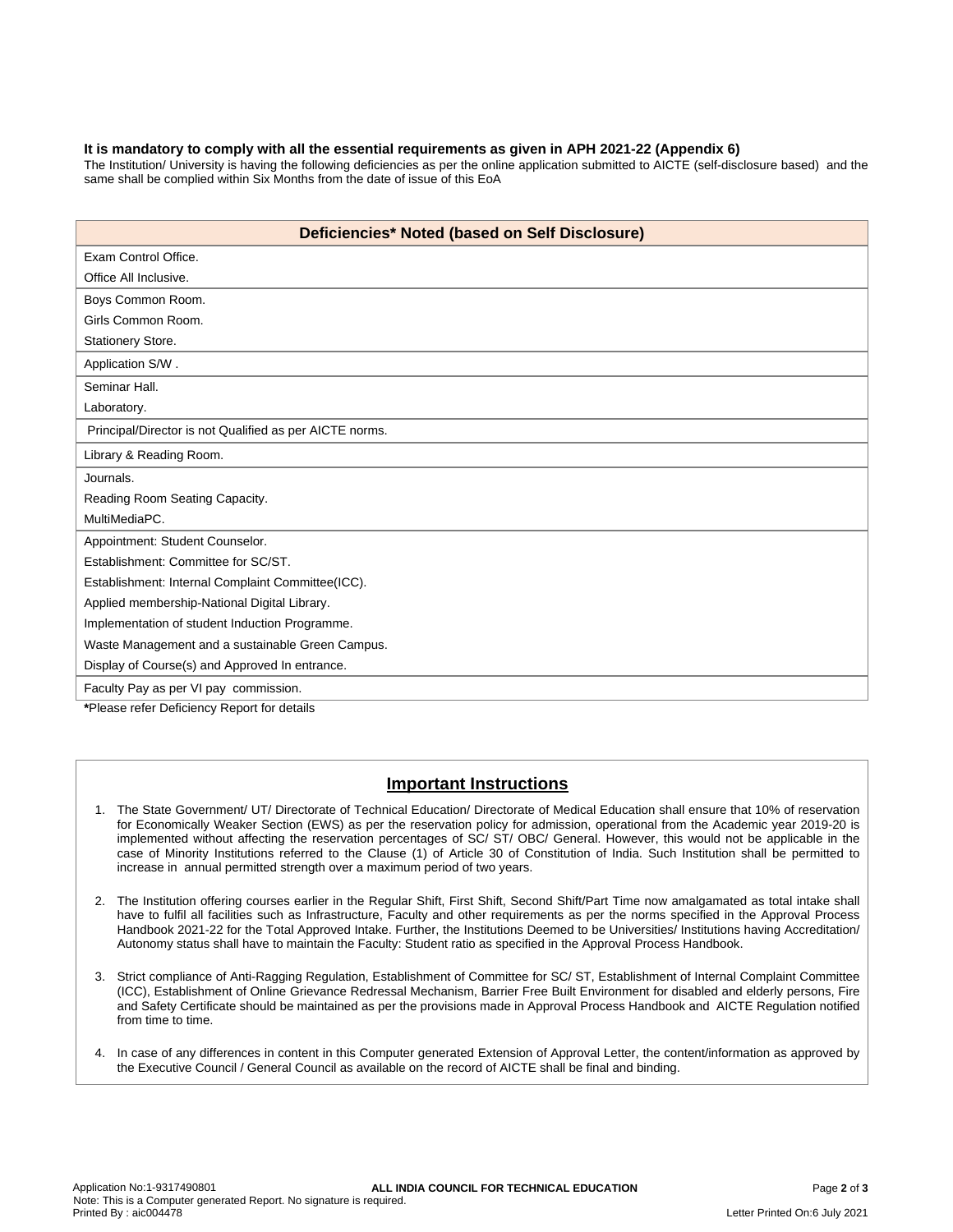#### **It is mandatory to comply with all the essential requirements as given in APH 2021-22 (Appendix 6)**

The Institution/ University is having the following deficiencies as per the online application submitted to AICTE (self-disclosure based) and the same shall be complied within Six Months from the date of issue of this EoA

| Deficiencies* Noted (based on Self Disclosure)          |  |  |  |  |
|---------------------------------------------------------|--|--|--|--|
| Exam Control Office.                                    |  |  |  |  |
| Office All Inclusive.                                   |  |  |  |  |
| Boys Common Room.                                       |  |  |  |  |
| Girls Common Room.                                      |  |  |  |  |
| Stationery Store.                                       |  |  |  |  |
| Application S/W.                                        |  |  |  |  |
| Seminar Hall.                                           |  |  |  |  |
| Laboratory.                                             |  |  |  |  |
| Principal/Director is not Qualified as per AICTE norms. |  |  |  |  |
| Library & Reading Room.                                 |  |  |  |  |
| Journals.                                               |  |  |  |  |
| Reading Room Seating Capacity.                          |  |  |  |  |
| MultiMediaPC.                                           |  |  |  |  |
| Appointment: Student Counselor.                         |  |  |  |  |
| Establishment: Committee for SC/ST.                     |  |  |  |  |
| Establishment: Internal Complaint Committee(ICC).       |  |  |  |  |
| Applied membership-National Digital Library.            |  |  |  |  |
| Implementation of student Induction Programme.          |  |  |  |  |
| Waste Management and a sustainable Green Campus.        |  |  |  |  |
| Display of Course(s) and Approved In entrance.          |  |  |  |  |
| Faculty Pay as per VI pay commission.                   |  |  |  |  |

**\***Please refer Deficiency Report for details

# **Important Instructions**

- 1. The State Government/ UT/ Directorate of Technical Education/ Directorate of Medical Education shall ensure that 10% of reservation for Economically Weaker Section (EWS) as per the reservation policy for admission, operational from the Academic year 2019-20 is implemented without affecting the reservation percentages of SC/ ST/ OBC/ General. However, this would not be applicable in the case of Minority Institutions referred to the Clause (1) of Article 30 of Constitution of India. Such Institution shall be permitted to increase in annual permitted strength over a maximum period of two years.
- 2. The Institution offering courses earlier in the Regular Shift, First Shift, Second Shift/Part Time now amalgamated as total intake shall have to fulfil all facilities such as Infrastructure, Faculty and other requirements as per the norms specified in the Approval Process Handbook 2021-22 for the Total Approved Intake. Further, the Institutions Deemed to be Universities/ Institutions having Accreditation/ Autonomy status shall have to maintain the Faculty: Student ratio as specified in the Approval Process Handbook.
- 3. Strict compliance of Anti-Ragging Regulation, Establishment of Committee for SC/ ST, Establishment of Internal Complaint Committee (ICC), Establishment of Online Grievance Redressal Mechanism, Barrier Free Built Environment for disabled and elderly persons, Fire and Safety Certificate should be maintained as per the provisions made in Approval Process Handbook and AICTE Regulation notified from time to time.
- 4. In case of any differences in content in this Computer generated Extension of Approval Letter, the content/information as approved by the Executive Council / General Council as available on the record of AICTE shall be final and binding.